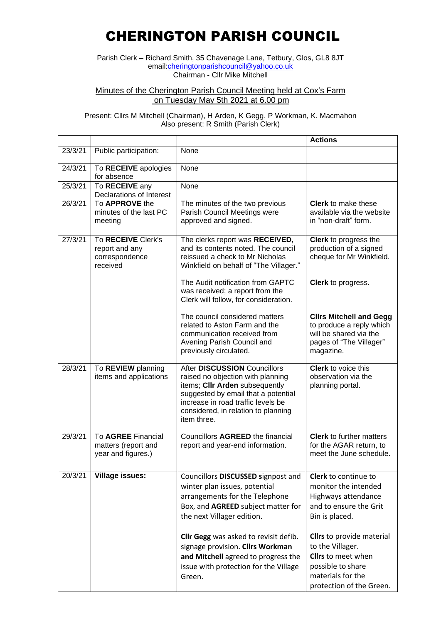## CHERINGTON PARISH COUNCIL

Parish Clerk – Richard Smith, 35 Chavenage Lane, Tetbury, Glos, GL8 8JT email[:cheringtonparishcouncil@yahoo.co.uk](mailto:cheringtonparishcouncil@yahoo.co.uk) Chairman - Cllr Mike Mitchell

Minutes of the Cherington Parish Council Meeting held at Cox's Farm on Tuesday May 5th 2021 at 6.00 pm

Present: Cllrs M Mitchell (Chairman), H Arden, K Gegg, P Workman, K. Macmahon Also present: R Smith (Parish Clerk)

|         |                                                                    |                                                                                                                                                                                                                                        | <b>Actions</b>                                                                                                                                          |
|---------|--------------------------------------------------------------------|----------------------------------------------------------------------------------------------------------------------------------------------------------------------------------------------------------------------------------------|---------------------------------------------------------------------------------------------------------------------------------------------------------|
| 23/3/21 | Public participation:                                              | None                                                                                                                                                                                                                                   |                                                                                                                                                         |
|         |                                                                    |                                                                                                                                                                                                                                        |                                                                                                                                                         |
| 24/3/21 | To RECEIVE apologies<br>for absence                                | None                                                                                                                                                                                                                                   |                                                                                                                                                         |
| 25/3/21 | To RECEIVE any<br>Declarations of Interest                         | None                                                                                                                                                                                                                                   |                                                                                                                                                         |
| 26/3/21 | To APPROVE the<br>minutes of the last PC<br>meeting                | The minutes of the two previous<br>Parish Council Meetings were<br>approved and signed.                                                                                                                                                | <b>Clerk</b> to make these<br>available via the website<br>in "non-draft" form.                                                                         |
| 27/3/21 | To RECEIVE Clerk's<br>report and any<br>correspondence<br>received | The clerks report was RECEIVED,<br>and its contents noted. The council<br>reissued a check to Mr Nicholas<br>Winkfield on behalf of "The Villager."                                                                                    | Clerk to progress the<br>production of a signed<br>cheque for Mr Winkfield.                                                                             |
|         |                                                                    | The Audit notification from GAPTC<br>was received; a report from the<br>Clerk will follow, for consideration.                                                                                                                          | Clerk to progress.                                                                                                                                      |
|         |                                                                    | The council considered matters<br>related to Aston Farm and the<br>communication received from<br>Avening Parish Council and<br>previously circulated.                                                                                 | <b>Clirs Mitchell and Gegg</b><br>to produce a reply which<br>will be shared via the<br>pages of "The Villager"<br>magazine.                            |
| 28/3/21 | To REVIEW planning<br>items and applications                       | After DISCUSSION Councillors<br>raised no objection with planning<br>items; CIIr Arden subsequently<br>suggested by email that a potential<br>increase in road traffic levels be<br>considered, in relation to planning<br>item three. | <b>Clerk</b> to voice this<br>observation via the<br>planning portal.                                                                                   |
| 29/3/21 | To AGREE Financial<br>matters (report and<br>year and figures.)    | Councillors AGREED the financial<br>report and year-end information.                                                                                                                                                                   | <b>Clerk</b> to further matters<br>for the AGAR return, to<br>meet the June schedule.                                                                   |
| 20/3/21 | <b>Village issues:</b>                                             | Councillors DISCUSSED signpost and<br>winter plan issues, potential<br>arrangements for the Telephone<br>Box, and AGREED subject matter for<br>the next Villager edition.                                                              | Clerk to continue to<br>monitor the intended<br>Highways attendance<br>and to ensure the Grit<br>Bin is placed.                                         |
|         |                                                                    | Cllr Gegg was asked to revisit defib.<br>signage provision. Cllrs Workman<br>and Mitchell agreed to progress the<br>issue with protection for the Village<br>Green.                                                                    | <b>Clirs</b> to provide material<br>to the Villager.<br><b>Clirs</b> to meet when<br>possible to share<br>materials for the<br>protection of the Green. |